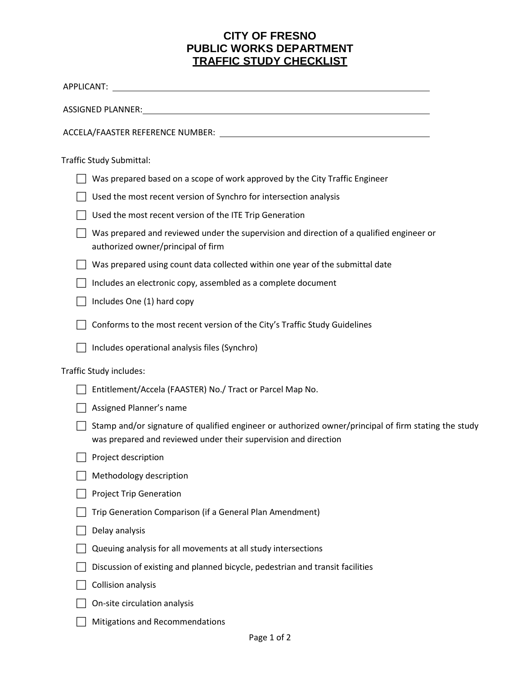## **CITY OF FRESNO PUBLIC WORKS DEPARTMENT TRAFFIC STUDY CHECKLIST**

| APPLICANT: New York State And The Contract of the Contract of the Contract of the Contract of the Contract of the Contract of the Contract of the Contract of the Contract of the Contract of the Contract of the Contract of  |
|--------------------------------------------------------------------------------------------------------------------------------------------------------------------------------------------------------------------------------|
| ASSIGNED PLANNER: New York Contract Contract Contract Contract Contract Contract Contract Contract Contract Contract Contract Contract Contract Contract Contract Contract Contract Contract Contract Contract Contract Contra |
|                                                                                                                                                                                                                                |
| <b>Traffic Study Submittal:</b>                                                                                                                                                                                                |
| Was prepared based on a scope of work approved by the City Traffic Engineer                                                                                                                                                    |
| Used the most recent version of Synchro for intersection analysis                                                                                                                                                              |
| Used the most recent version of the ITE Trip Generation                                                                                                                                                                        |
| Was prepared and reviewed under the supervision and direction of a qualified engineer or<br>authorized owner/principal of firm                                                                                                 |
| Was prepared using count data collected within one year of the submittal date                                                                                                                                                  |
| Includes an electronic copy, assembled as a complete document                                                                                                                                                                  |
| Includes One (1) hard copy                                                                                                                                                                                                     |
| Conforms to the most recent version of the City's Traffic Study Guidelines                                                                                                                                                     |
| Includes operational analysis files (Synchro)                                                                                                                                                                                  |
| Traffic Study includes:                                                                                                                                                                                                        |
| Entitlement/Accela (FAASTER) No./ Tract or Parcel Map No.                                                                                                                                                                      |
| Assigned Planner's name                                                                                                                                                                                                        |
| Stamp and/or signature of qualified engineer or authorized owner/principal of firm stating the study<br>was prepared and reviewed under their supervision and direction                                                        |
| Project description                                                                                                                                                                                                            |
| Methodology description                                                                                                                                                                                                        |
| <b>Project Trip Generation</b>                                                                                                                                                                                                 |
| Trip Generation Comparison (if a General Plan Amendment)                                                                                                                                                                       |
| Delay analysis                                                                                                                                                                                                                 |
| Queuing analysis for all movements at all study intersections                                                                                                                                                                  |
| Discussion of existing and planned bicycle, pedestrian and transit facilities                                                                                                                                                  |
| <b>Collision analysis</b>                                                                                                                                                                                                      |
| On-site circulation analysis                                                                                                                                                                                                   |
| Mitigations and Recommendations                                                                                                                                                                                                |